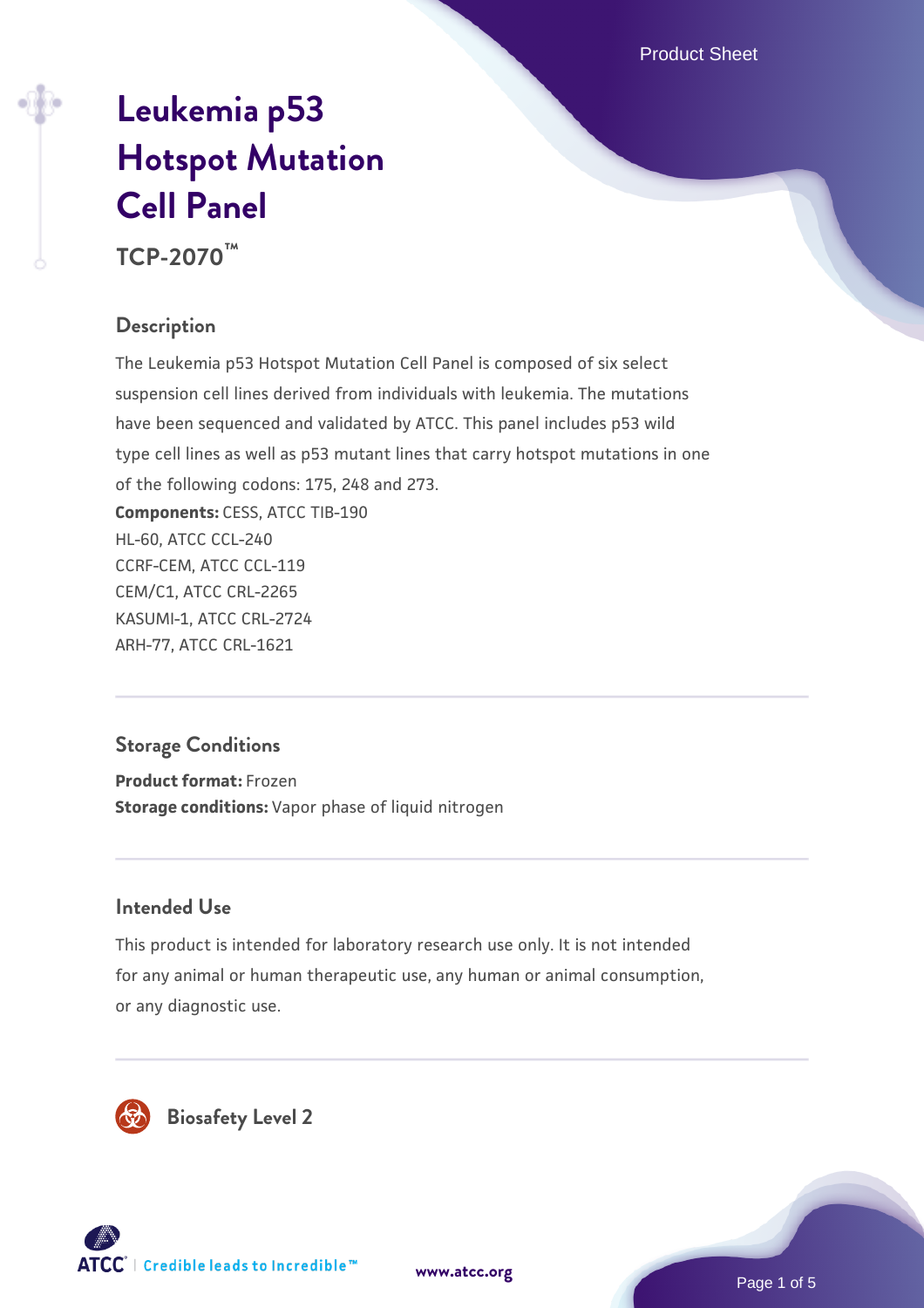Product Sheet

# **[Leukemia p53](https://www.atcc.org/products/tcp-2070) [Hotspot Mutation](https://www.atcc.org/products/tcp-2070) [Cell Panel](https://www.atcc.org/products/tcp-2070)**

**TCP-2070™**

# **Description**

The Leukemia p53 Hotspot Mutation Cell Panel is composed of six select suspension cell lines derived from individuals with leukemia. The mutations have been sequenced and validated by ATCC. This panel includes p53 wild type cell lines as well as p53 mutant lines that carry hotspot mutations in one of the following codons: 175, 248 and 273. **Components:** CESS, ATCC TIB-190 HL-60, ATCC CCL-240 CCRF-CEM, ATCC CCL-119 CEM/C1, ATCC CRL-2265 KASUMI-1, ATCC CRL-2724 ARH-77, ATCC CRL-1621

# **Storage Conditions**

**Product format:** Frozen **Storage conditions:** Vapor phase of liquid nitrogen

## **Intended Use**

This product is intended for laboratory research use only. It is not intended for any animal or human therapeutic use, any human or animal consumption, or any diagnostic use.





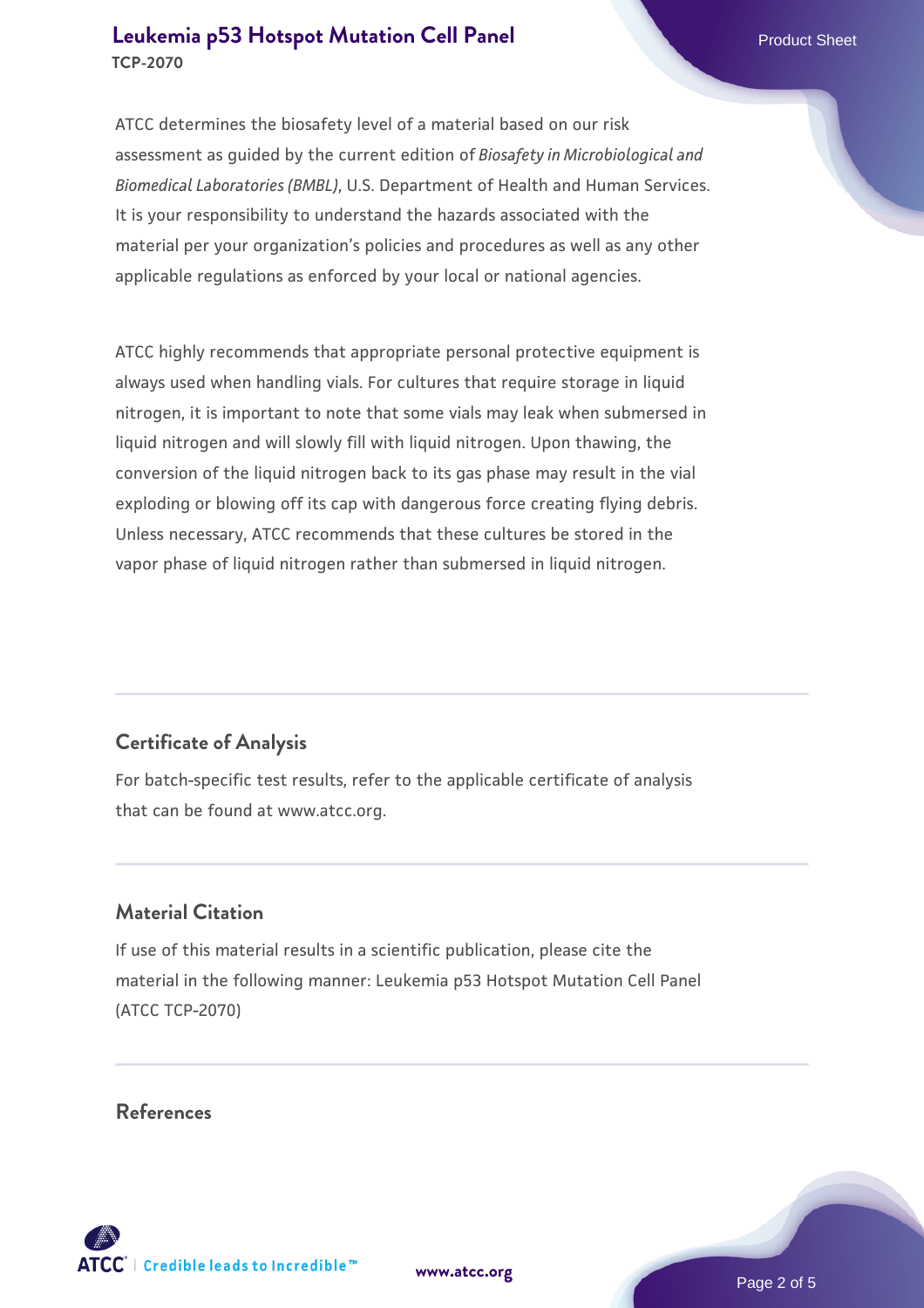#### **[Leukemia p53 Hotspot Mutation Cell Panel](https://www.atcc.org/products/tcp-2070) Product Sheet Product Sheet TCP-2070**

ATCC determines the biosafety level of a material based on our risk assessment as guided by the current edition of *Biosafety in Microbiological and Biomedical Laboratories (BMBL)*, U.S. Department of Health and Human Services. It is your responsibility to understand the hazards associated with the material per your organization's policies and procedures as well as any other applicable regulations as enforced by your local or national agencies.

ATCC highly recommends that appropriate personal protective equipment is always used when handling vials. For cultures that require storage in liquid nitrogen, it is important to note that some vials may leak when submersed in liquid nitrogen and will slowly fill with liquid nitrogen. Upon thawing, the conversion of the liquid nitrogen back to its gas phase may result in the vial exploding or blowing off its cap with dangerous force creating flying debris. Unless necessary, ATCC recommends that these cultures be stored in the vapor phase of liquid nitrogen rather than submersed in liquid nitrogen.

# **Certificate of Analysis**

For batch-specific test results, refer to the applicable certificate of analysis that can be found at www.atcc.org.

### **Material Citation**

If use of this material results in a scientific publication, please cite the material in the following manner: Leukemia p53 Hotspot Mutation Cell Panel (ATCC TCP-2070)

#### **References**



**[www.atcc.org](http://www.atcc.org)**

Page 2 of 5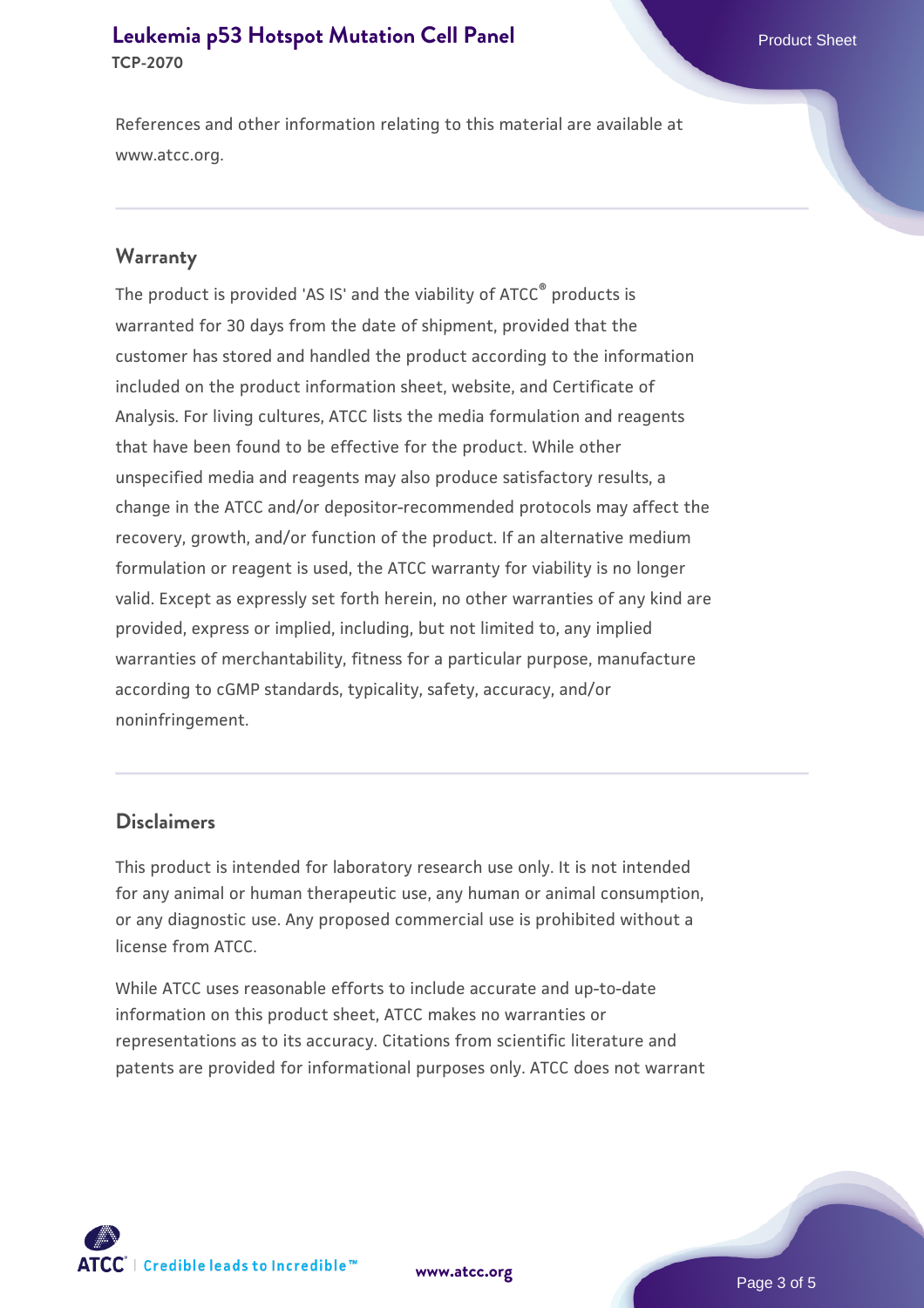#### **[Leukemia p53 Hotspot Mutation Cell Panel](https://www.atcc.org/products/tcp-2070) Product Sheet Product Sheet TCP-2070**

References and other information relating to this material are available at www.atcc.org.

#### **Warranty**

The product is provided 'AS IS' and the viability of ATCC® products is warranted for 30 days from the date of shipment, provided that the customer has stored and handled the product according to the information included on the product information sheet, website, and Certificate of Analysis. For living cultures, ATCC lists the media formulation and reagents that have been found to be effective for the product. While other unspecified media and reagents may also produce satisfactory results, a change in the ATCC and/or depositor-recommended protocols may affect the recovery, growth, and/or function of the product. If an alternative medium formulation or reagent is used, the ATCC warranty for viability is no longer valid. Except as expressly set forth herein, no other warranties of any kind are provided, express or implied, including, but not limited to, any implied warranties of merchantability, fitness for a particular purpose, manufacture according to cGMP standards, typicality, safety, accuracy, and/or noninfringement.

#### **Disclaimers**

This product is intended for laboratory research use only. It is not intended for any animal or human therapeutic use, any human or animal consumption, or any diagnostic use. Any proposed commercial use is prohibited without a license from ATCC.

While ATCC uses reasonable efforts to include accurate and up-to-date information on this product sheet, ATCC makes no warranties or representations as to its accuracy. Citations from scientific literature and patents are provided for informational purposes only. ATCC does not warrant



**[www.atcc.org](http://www.atcc.org)**

Page 3 of 5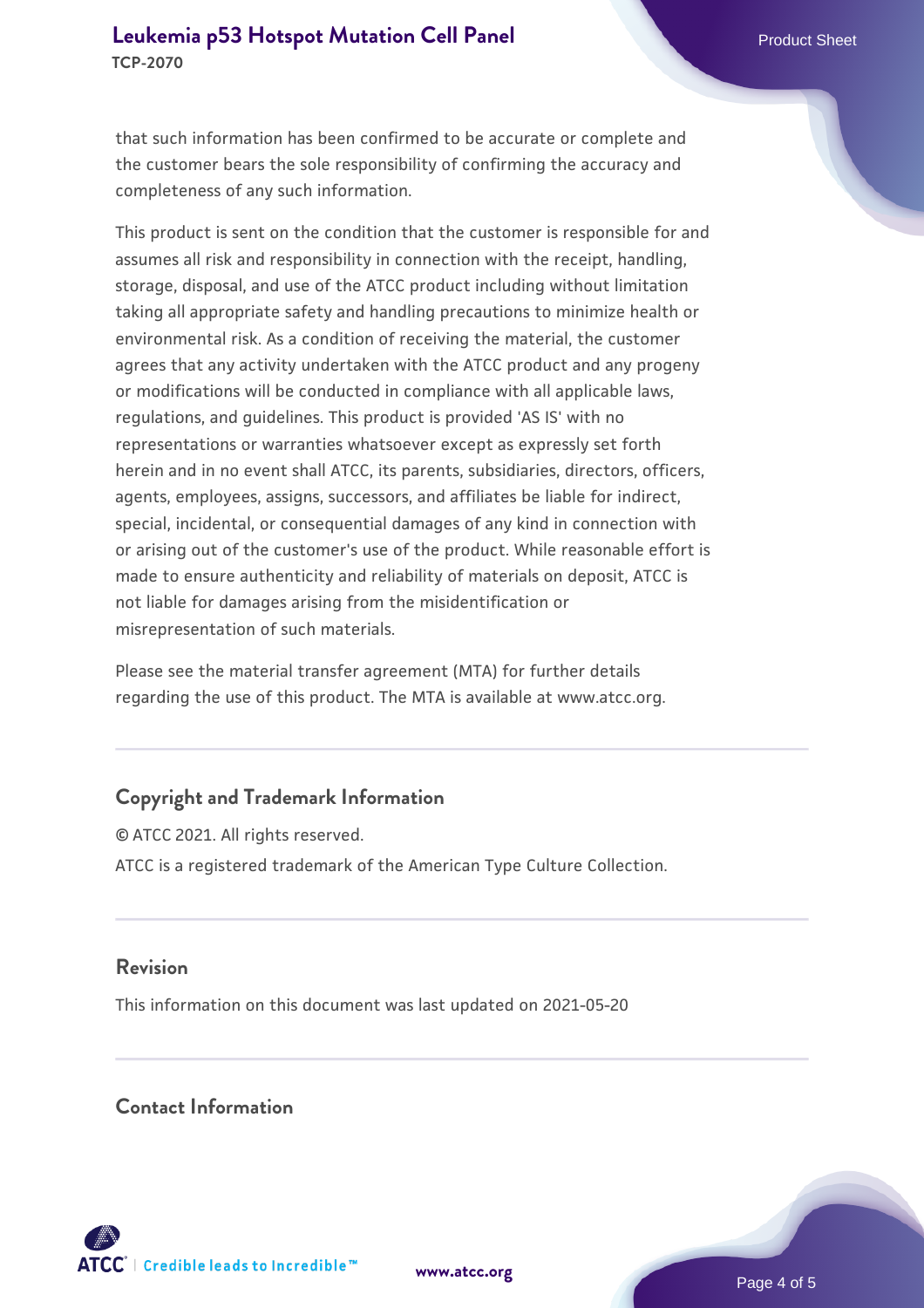that such information has been confirmed to be accurate or complete and the customer bears the sole responsibility of confirming the accuracy and completeness of any such information.

This product is sent on the condition that the customer is responsible for and assumes all risk and responsibility in connection with the receipt, handling, storage, disposal, and use of the ATCC product including without limitation taking all appropriate safety and handling precautions to minimize health or environmental risk. As a condition of receiving the material, the customer agrees that any activity undertaken with the ATCC product and any progeny or modifications will be conducted in compliance with all applicable laws, regulations, and guidelines. This product is provided 'AS IS' with no representations or warranties whatsoever except as expressly set forth herein and in no event shall ATCC, its parents, subsidiaries, directors, officers, agents, employees, assigns, successors, and affiliates be liable for indirect, special, incidental, or consequential damages of any kind in connection with or arising out of the customer's use of the product. While reasonable effort is made to ensure authenticity and reliability of materials on deposit, ATCC is not liable for damages arising from the misidentification or misrepresentation of such materials.

Please see the material transfer agreement (MTA) for further details regarding the use of this product. The MTA is available at www.atcc.org.

# **Copyright and Trademark Information**

© ATCC 2021. All rights reserved. ATCC is a registered trademark of the American Type Culture Collection.

#### **Revision**

This information on this document was last updated on 2021-05-20

#### **Contact Information**



**[www.atcc.org](http://www.atcc.org)**